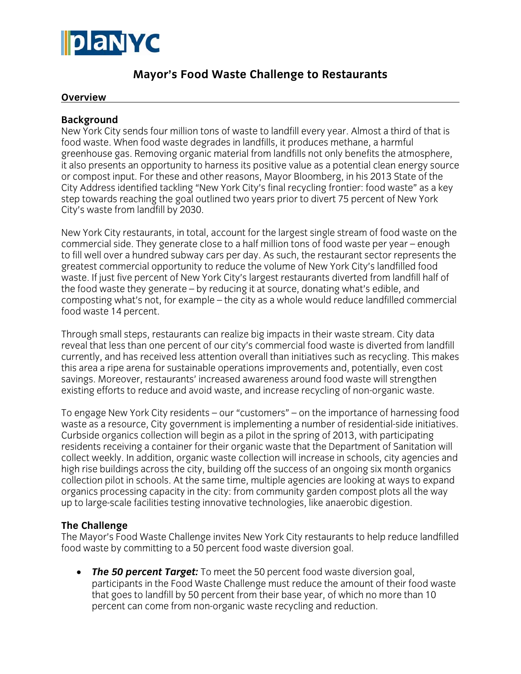

# **Mayor's Food Waste Challenge to Restaurants**

#### **Overview**

#### **Background**

New York City sends four million tons of waste to landfill every year. Almost a third of that is food waste. When food waste degrades in landfills, it produces methane, a harmful greenhouse gas. Removing organic material from landfills not only benefits the atmosphere, it also presents an opportunity to harness its positive value as a potential clean energy source or compost input. For these and other reasons, Mayor Bloomberg, in his 2013 State of the City Address identified tackling "New York City's final recycling frontier: food waste" as a key step towards reaching the goal outlined two years prior to divert 75 percent of New York City's waste from landfill by 2030.

New York City restaurants, in total, account for the largest single stream of food waste on the commercial side. They generate close to a half million tons of food waste per year – enough to fill well over a hundred subway cars per day. As such, the restaurant sector represents the greatest commercial opportunity to reduce the volume of New York City's landfilled food waste. If just five percent of New York City's largest restaurants diverted from landfill half of the food waste they generate – by reducing it at source, donating what's edible, and composting what's not, for example – the city as a whole would reduce landfilled commercial food waste 14 percent.

Through small steps, restaurants can realize big impacts in their waste stream. City data reveal that less than one percent of our city's commercial food waste is diverted from landfill currently, and has received less attention overall than initiatives such as recycling. This makes this area a ripe arena for sustainable operations improvements and, potentially, even cost savings. Moreover, restaurants' increased awareness around food waste will strengthen existing efforts to reduce and avoid waste, and increase recycling of non-organic waste.

To engage New York City residents – our "customers" – on the importance of harnessing food waste as a resource, City government is implementing a number of residential-side initiatives. Curbside organics collection will begin as a pilot in the spring of 2013, with participating residents receiving a container for their organic waste that the Department of Sanitation will collect weekly. In addition, organic waste collection will increase in schools, city agencies and high rise buildings across the city, building off the success of an ongoing six month organics collection pilot in schools. At the same time, multiple agencies are looking at ways to expand organics processing capacity in the city: from community garden compost plots all the way up to large-scale facilities testing innovative technologies, like anaerobic digestion.

## **The Challenge**

The Mayor's Food Waste Challenge invites New York City restaurants to help reduce landfilled food waste by committing to a 50 percent food waste diversion goal.

• *The 50 percent Target:* To meet the 50 percent food waste diversion goal, participants in the Food Waste Challenge must reduce the amount of their food waste that goes to landfill by 50 percent from their base year, of which no more than 10 percent can come from non-organic waste recycling and reduction.